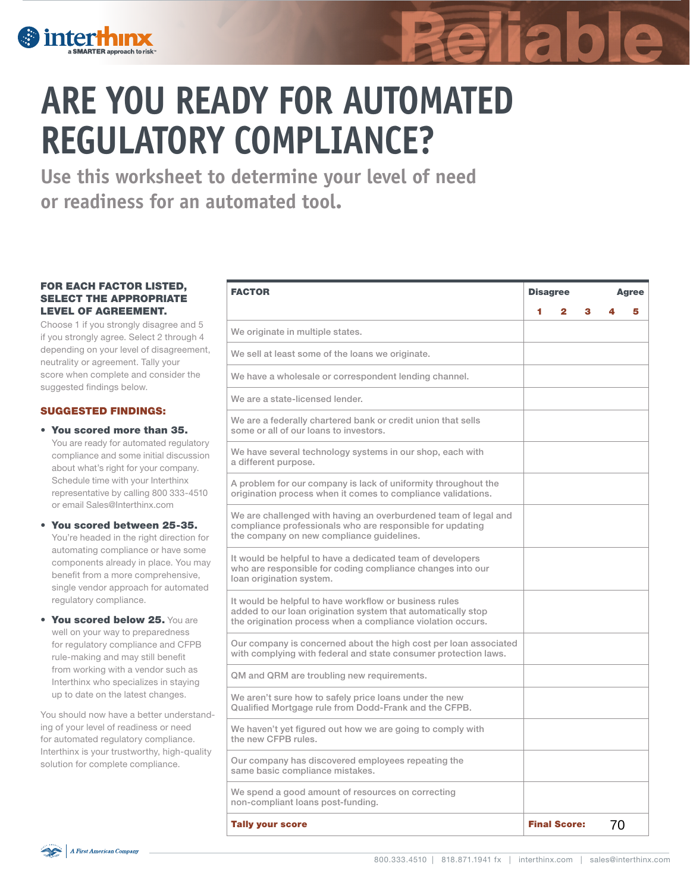

# **ARE YOU READY FOR AUTOMATED REGULATORY COMPLIANCE?**

**Use this worksheet to determine your level of need or readiness for an automated tool.**

#### FOR EACH FACTOR LISTED, SELECT THE APPROPRIATE LEVEL OF AGREEMENT.

Choose 1 if you strongly disagree and 5 if you strongly agree. Select 2 through 4 depending on your level of disagreement, neutrality or agreement. Tally your score when complete and consider the suggested findings below.

#### SUGGESTED FINDINGS:

- You scored more than 35. You are ready for automated regulatory compliance and some initial discussion about what's right for your company. Schedule time with your Interthinx representative by calling 800 333-4510 or email Sales@Interthinx.com
- You scored between 25-35. You're headed in the right direction for automating compliance or have some components already in place. You may benefit from a more comprehensive, single vendor approach for automated regulatory compliance.
- You scored below 25. You are well on your way to preparedness for regulatory compliance and CFPB rule-making and may still benefit from working with a vendor such as Interthinx who specializes in staying up to date on the latest changes.

You should now have a better understanding of your level of readiness or need for automated regulatory compliance. Interthinx is your trustworthy, high-quality solution for complete compliance.

| <b>FACTOR</b>                                                                                                                                                                         | <b>Disagree</b> |                     |   | <b>Agree</b> |   |
|---------------------------------------------------------------------------------------------------------------------------------------------------------------------------------------|-----------------|---------------------|---|--------------|---|
|                                                                                                                                                                                       | 4               | 2                   | з |              | 5 |
| We originate in multiple states.                                                                                                                                                      |                 |                     |   |              |   |
| We sell at least some of the loans we originate.                                                                                                                                      |                 |                     |   |              |   |
| We have a wholesale or correspondent lending channel.                                                                                                                                 |                 |                     |   |              |   |
| We are a state-licensed lender.                                                                                                                                                       |                 |                     |   |              |   |
| We are a federally chartered bank or credit union that sells<br>some or all of our loans to investors.                                                                                |                 |                     |   |              |   |
| We have several technology systems in our shop, each with<br>a different purpose.                                                                                                     |                 |                     |   |              |   |
| A problem for our company is lack of uniformity throughout the<br>origination process when it comes to compliance validations.                                                        |                 |                     |   |              |   |
| We are challenged with having an overburdened team of legal and<br>compliance professionals who are responsible for updating<br>the company on new compliance guidelines.             |                 |                     |   |              |   |
| It would be helpful to have a dedicated team of developers<br>who are responsible for coding compliance changes into our<br>loan origination system.                                  |                 |                     |   |              |   |
| It would be helpful to have workflow or business rules<br>added to our loan origination system that automatically stop<br>the origination process when a compliance violation occurs. |                 |                     |   |              |   |
| Our company is concerned about the high cost per loan associated<br>with complying with federal and state consumer protection laws.                                                   |                 |                     |   |              |   |
| QM and QRM are troubling new requirements.                                                                                                                                            |                 |                     |   |              |   |
| We aren't sure how to safely price loans under the new<br>Qualified Mortgage rule from Dodd-Frank and the CFPB.                                                                       |                 |                     |   |              |   |
| We haven't yet figured out how we are going to comply with<br>the new CFPB rules.                                                                                                     |                 |                     |   |              |   |
| Our company has discovered employees repeating the<br>same basic compliance mistakes.                                                                                                 |                 |                     |   |              |   |
| We spend a good amount of resources on correcting<br>non-compliant loans post-funding.                                                                                                |                 |                     |   |              |   |
| <b>Tally your score</b>                                                                                                                                                               |                 | <b>Final Score:</b> |   | 70           |   |